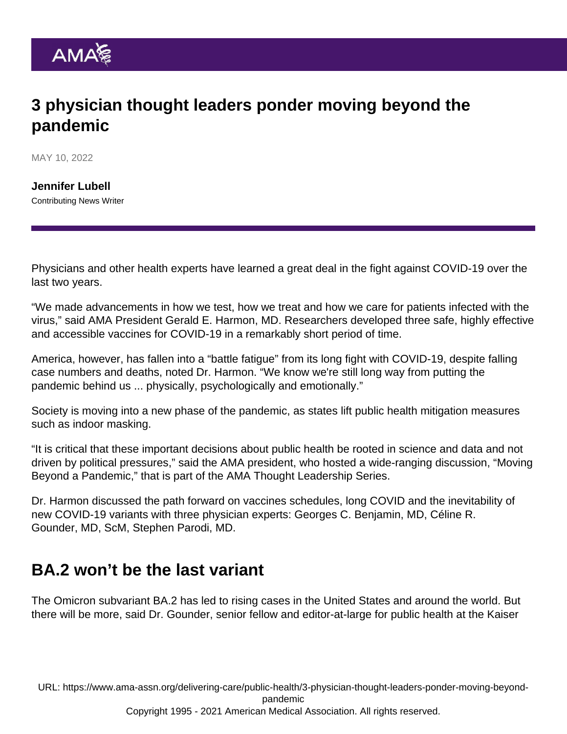## 3 physician thought leaders ponder moving beyond the pandemic

MAY 10, 2022

[Jennifer Lubell](https://www.ama-assn.org/news-leadership-viewpoints/authors-news-leadership-viewpoints/jennifer-lubell) Contributing News Writer

Physicians and other health experts have learned a great deal in the fight against COVID-19 over the last two years.

"We made advancements in how we test, how we treat and how we care for patients infected with the virus," said AMA President [Gerald E. Harmon, MD.](https://www.ama-assn.org/about/board-trustees/gerald-e-harmon-md) Researchers developed three safe, highly effective and accessible vaccines for COVID-19 in a remarkably short period of time.

America, however, has fallen into a "battle fatigue" from its long fight with COVID-19, despite falling case numbers and deaths, noted Dr. Harmon. "We know we're still long way from putting the pandemic behind us ... physically, psychologically and emotionally."

Society is moving into a new phase of the pandemic, as states lift public health mitigation measures such as indoor masking.

"It is critical that these important decisions about public health be rooted in science and data and not driven by political pressures," said the AMA president, who hosted a wide-ranging discussion, "[Moving](https://www.ama-assn.org/delivering-care/public-health/ama-thought-leadership-series-moving-beyond-pandemic) [Beyond a Pandemic](https://www.ama-assn.org/delivering-care/public-health/ama-thought-leadership-series-moving-beyond-pandemic)," that is part of the AMA Thought Leadership Series.

Dr. Harmon discussed the path forward on vaccines schedules, long COVID and the inevitability of new COVID-19 variants with three physician experts: Georges C. Benjamin, MD, Céline R. Gounder, MD, ScM, Stephen Parodi, MD.

### BA.2 won't be the last variant

The [Omicron subvariant BA.2](https://www.ama-assn.org/delivering-care/public-health/what-ba2-or-stealth-omicron-subvariant) has led to rising cases in the United States and around the world. But there will be more, said Dr. Gounder, senior fellow and editor-at-large for public health at the Kaiser

URL: [https://www.ama-assn.org/delivering-care/public-health/3-physician-thought-leaders-ponder-moving-beyond](https://www.ama-assn.org/delivering-care/public-health/3-physician-thought-leaders-ponder-moving-beyond-pandemic)[pandemic](https://www.ama-assn.org/delivering-care/public-health/3-physician-thought-leaders-ponder-moving-beyond-pandemic)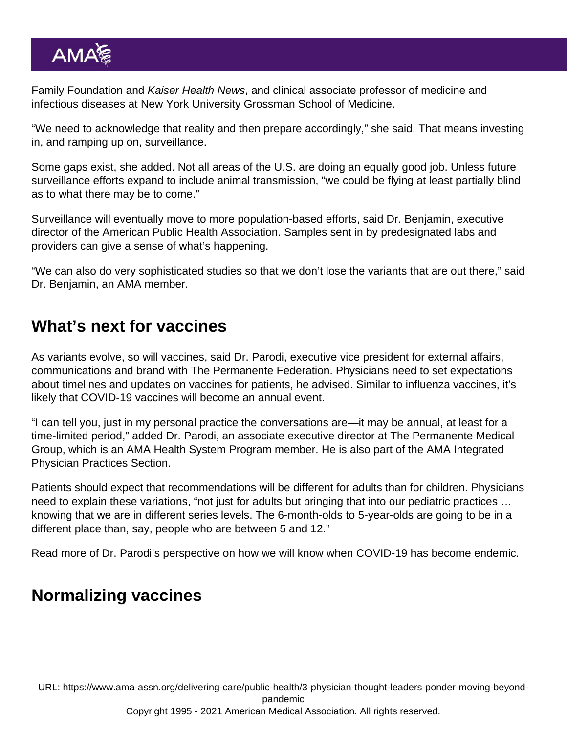Family Foundation and Kaiser Health News, and clinical associate professor of medicine and infectious diseases at New York University Grossman School of Medicine.

"We need to acknowledge that reality and then prepare accordingly," she said. That means investing in, and ramping up on, surveillance.

Some gaps exist, she added. Not all areas of the U.S. are doing an equally good job. Unless future surveillance efforts expand to include animal transmission, "we could be flying at least partially blind as to what there may be to come."

Surveillance will eventually move to more population-based efforts, said Dr. Benjamin, executive director of the American Public Health Association. Samples sent in by predesignated labs and providers can give a sense of what's happening.

"We can also do very sophisticated studies so that we don't lose the variants that are out there," said Dr. Benjamin, an AMA member.

#### What's next for vaccines

As variants evolve, so will vaccines, said Dr. Parodi, executive vice president for external affairs, communications and brand with The Permanente Federation. Physicians need to set expectations about timelines and updates on vaccines for patients, he advised. Similar to influenza vaccines, it's likely that COVID-19 vaccines will become an annual event.

"I can tell you, just in my personal practice the conversations are—it may be annual, at least for a time-limited period," added Dr. Parodi, an associate executive director at The Permanente Medical Group, which is an [AMA Health System Program](https://www.ama-assn.org/amaone/ama-health-system-engagement-program) member. He is also part of the [AMA Integrated](https://www.ama-assn.org/member-groups-sections/integrated-physician-practices) [Physician Practices Section](https://www.ama-assn.org/member-groups-sections/integrated-physician-practices).

Patients should expect that recommendations will be different for adults than for children. Physicians need to explain these variations, "not just for adults but bringing that into our pediatric practices … knowing that we are in different series levels. The 6-month-olds to 5-year-olds are going to be in a different place than, say, people who are between 5 and 12."

Read more of Dr. Parodi's perspective on [how we will know when COVID-19 has become endemic.](https://www.ama-assn.org/delivering-care/public-health/how-we-will-know-when-covid-19-has-become-endemic)

#### Normalizing vaccines

URL: [https://www.ama-assn.org/delivering-care/public-health/3-physician-thought-leaders-ponder-moving-beyond](https://www.ama-assn.org/delivering-care/public-health/3-physician-thought-leaders-ponder-moving-beyond-pandemic)[pandemic](https://www.ama-assn.org/delivering-care/public-health/3-physician-thought-leaders-ponder-moving-beyond-pandemic) Copyright 1995 - 2021 American Medical Association. All rights reserved.